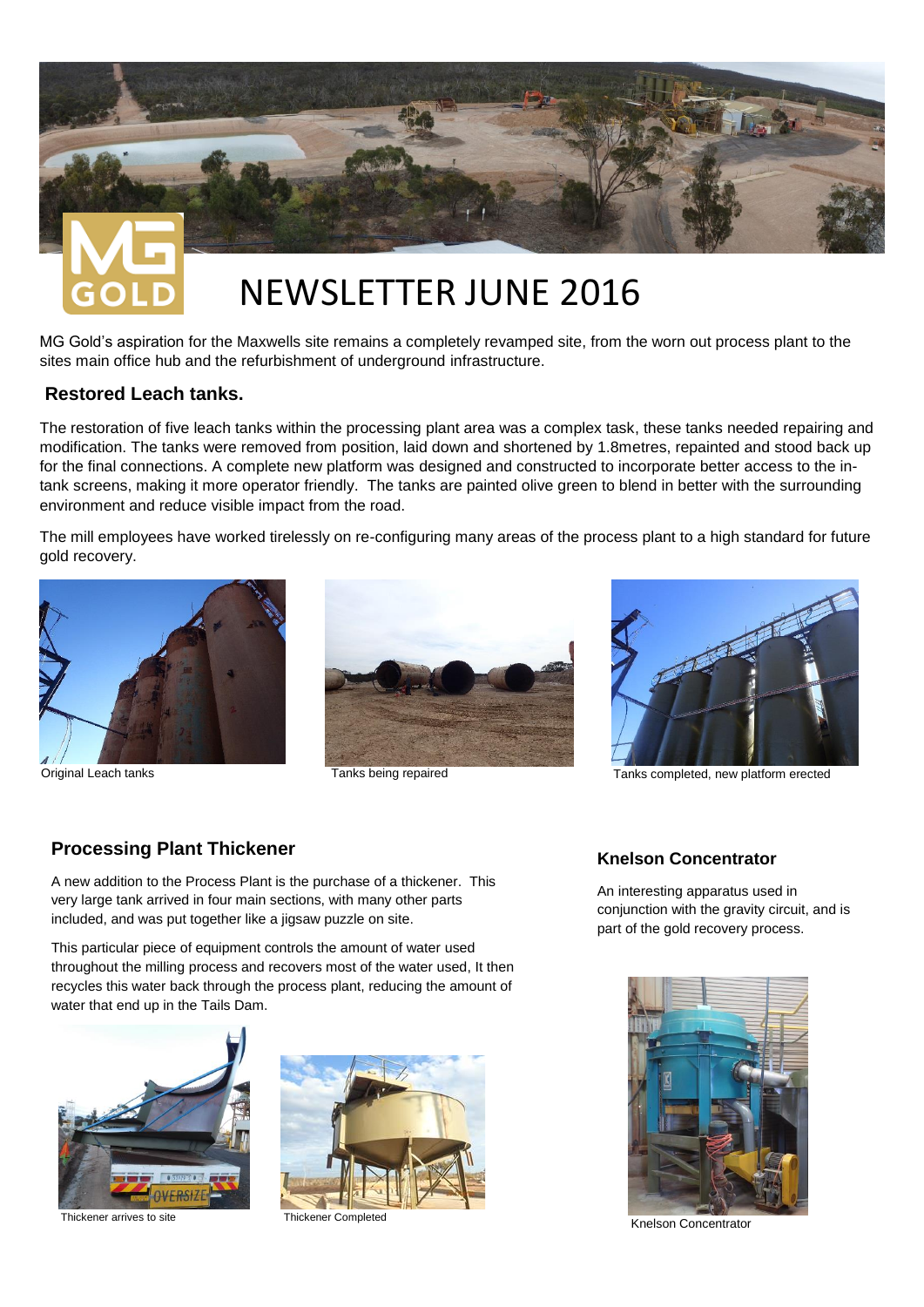

MG Gold's aspiration for the Maxwells site remains a completely revamped site, from the worn out process plant to the sites main office hub and the refurbishment of underground infrastructure.

### **Restored Leach tanks.**

The restoration of five leach tanks within the processing plant area was a complex task, these tanks needed repairing and modification. The tanks were removed from position, laid down and shortened by 1.8metres, repainted and stood back up for the final connections. A complete new platform was designed and constructed to incorporate better access to the intank screens, making it more operator friendly. The tanks are painted olive green to blend in better with the surrounding environment and reduce visible impact from the road.

The mill employees have worked tirelessly on re-configuring many areas of the process plant to a high standard for future gold recovery.







Original Leach tanks Tanks Tanks being repaired Tanks completed, new platform erected

## **Processing Plant Thickener**

A new addition to the Process Plant is the purchase of a thickener. This very large tank arrived in four main sections, with many other parts included, and was put together like a jigsaw puzzle on site.

This particular piece of equipment controls the amount of water used throughout the milling process and recovers most of the water used, It then recycles this water back through the process plant, reducing the amount of water that end up in the Tails Dam.





Thickener arrives to site **Thickener Completed** Thickener Completed Concentrator Concentrator Concentrator Concentrator

#### **Knelson Concentrator**

An interesting apparatus used in conjunction with the gravity circuit, and is part of the gold recovery process.